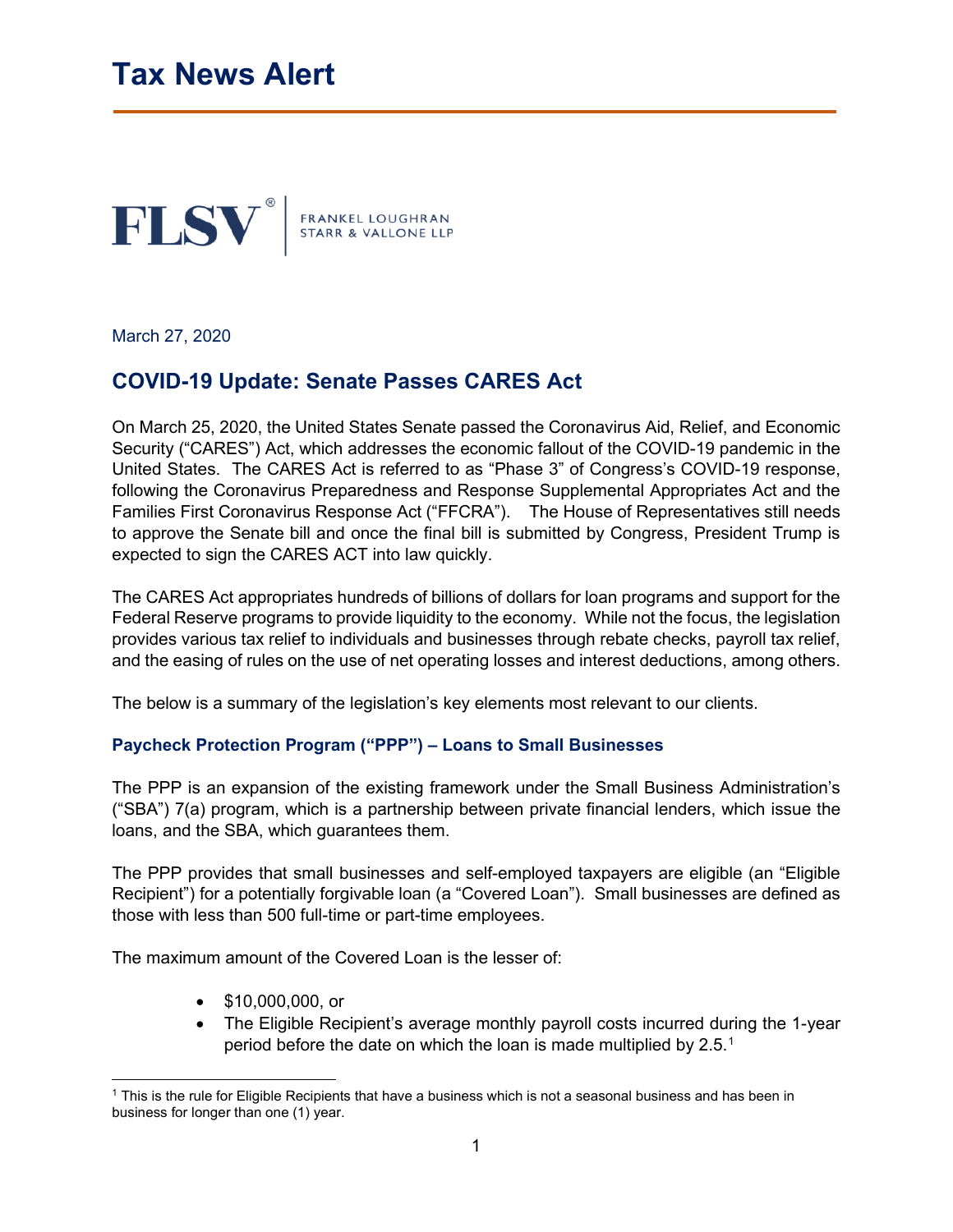

March 27, 2020

# **COVID-19 Update: Senate Passes CARES Act**

On March 25, 2020, the United States Senate passed the Coronavirus Aid, Relief, and Economic Security ("CARES") Act, which addresses the economic fallout of the COVID-19 pandemic in the United States. The CARES Act is referred to as "Phase 3" of Congress's COVID-19 response, following the Coronavirus Preparedness and Response Supplemental Appropriates Act and the Families First Coronavirus Response Act ("FFCRA"). The House of Representatives still needs to approve the Senate bill and once the final bill is submitted by Congress, President Trump is expected to sign the CARES ACT into law quickly.

The CARES Act appropriates hundreds of billions of dollars for loan programs and support for the Federal Reserve programs to provide liquidity to the economy. While not the focus, the legislation provides various tax relief to individuals and businesses through rebate checks, payroll tax relief, and the easing of rules on the use of net operating losses and interest deductions, among others.

The below is a summary of the legislation's key elements most relevant to our clients.

### **Paycheck Protection Program ("PPP") – Loans to Small Businesses**

The PPP is an expansion of the existing framework under the Small Business Administration's ("SBA") 7(a) program, which is a partnership between private financial lenders, which issue the loans, and the SBA, which guarantees them.

The PPP provides that small businesses and self-employed taxpayers are eligible (an "Eligible Recipient") for a potentially forgivable loan (a "Covered Loan"). Small businesses are defined as those with less than 500 full-time or part-time employees.

The maximum amount of the Covered Loan is the lesser of:

- \$10,000,000, or
- The Eligible Recipient's average monthly payroll costs incurred during the 1-year period before the date on which the loan is made multiplied by 2.5.<sup>[1](#page-0-0)</sup>

<span id="page-0-0"></span><sup>1</sup> This is the rule for Eligible Recipients that have a business which is not a seasonal business and has been in business for longer than one (1) year.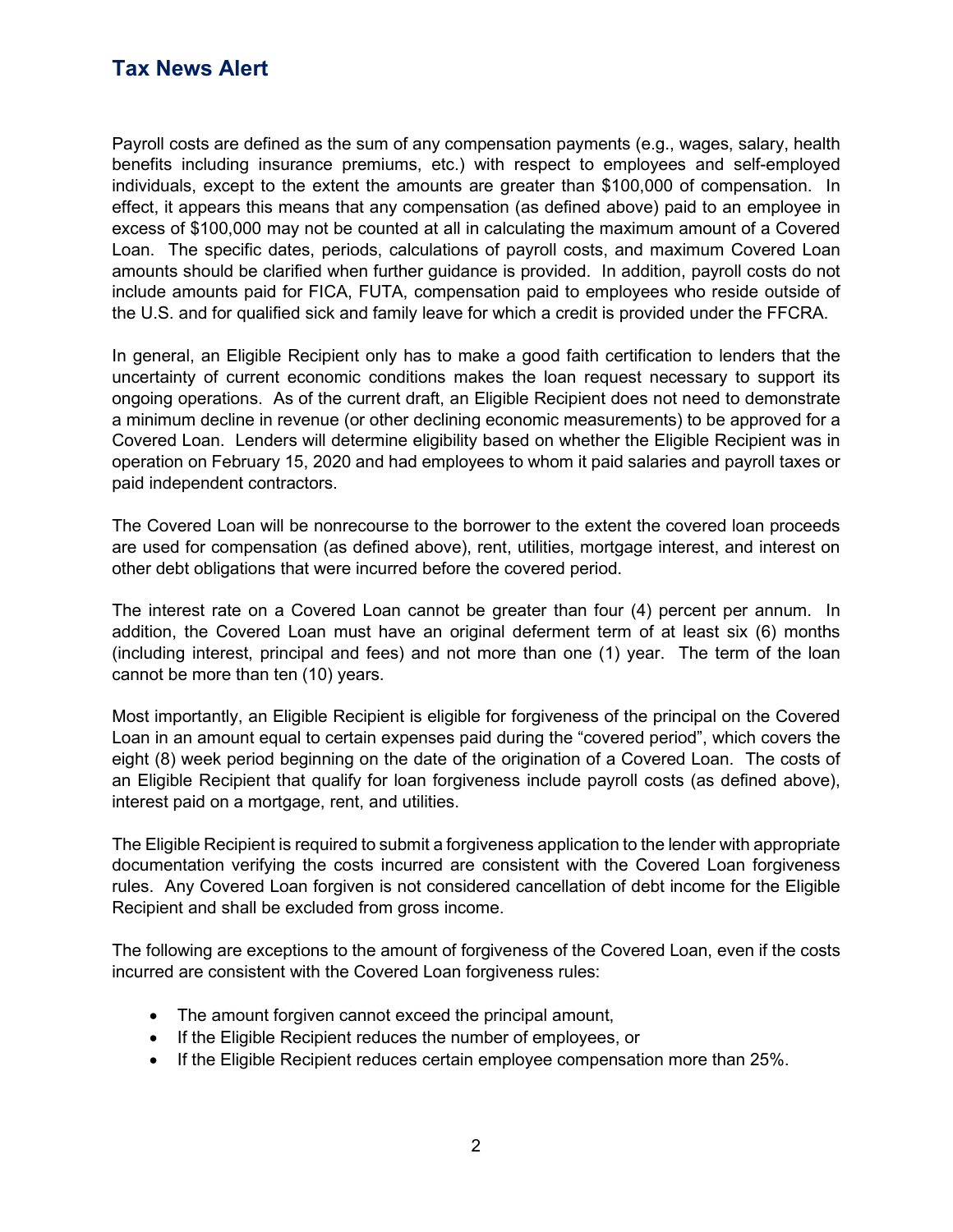Payroll costs are defined as the sum of any compensation payments (e.g., wages, salary, health benefits including insurance premiums, etc.) with respect to employees and self-employed individuals, except to the extent the amounts are greater than \$100,000 of compensation. In effect, it appears this means that any compensation (as defined above) paid to an employee in excess of \$100,000 may not be counted at all in calculating the maximum amount of a Covered Loan. The specific dates, periods, calculations of payroll costs, and maximum Covered Loan amounts should be clarified when further guidance is provided. In addition, payroll costs do not include amounts paid for FICA, FUTA, compensation paid to employees who reside outside of the U.S. and for qualified sick and family leave for which a credit is provided under the FFCRA.

In general, an Eligible Recipient only has to make a good faith certification to lenders that the uncertainty of current economic conditions makes the loan request necessary to support its ongoing operations. As of the current draft, an Eligible Recipient does not need to demonstrate a minimum decline in revenue (or other declining economic measurements) to be approved for a Covered Loan. Lenders will determine eligibility based on whether the Eligible Recipient was in operation on February 15, 2020 and had employees to whom it paid salaries and payroll taxes or paid independent contractors.

The Covered Loan will be nonrecourse to the borrower to the extent the covered loan proceeds are used for compensation (as defined above), rent, utilities, mortgage interest, and interest on other debt obligations that were incurred before the covered period.

The interest rate on a Covered Loan cannot be greater than four (4) percent per annum. In addition, the Covered Loan must have an original deferment term of at least six (6) months (including interest, principal and fees) and not more than one (1) year. The term of the loan cannot be more than ten (10) years.

Most importantly, an Eligible Recipient is eligible for forgiveness of the principal on the Covered Loan in an amount equal to certain expenses paid during the "covered period", which covers the eight (8) week period beginning on the date of the origination of a Covered Loan. The costs of an Eligible Recipient that qualify for loan forgiveness include payroll costs (as defined above), interest paid on a mortgage, rent, and utilities.

The Eligible Recipient is required to submit a forgiveness application to the lender with appropriate documentation verifying the costs incurred are consistent with the Covered Loan forgiveness rules. Any Covered Loan forgiven is not considered cancellation of debt income for the Eligible Recipient and shall be excluded from gross income.

The following are exceptions to the amount of forgiveness of the Covered Loan, even if the costs incurred are consistent with the Covered Loan forgiveness rules:

- The amount forgiven cannot exceed the principal amount,
- If the Eligible Recipient reduces the number of employees, or
- If the Eligible Recipient reduces certain employee compensation more than 25%.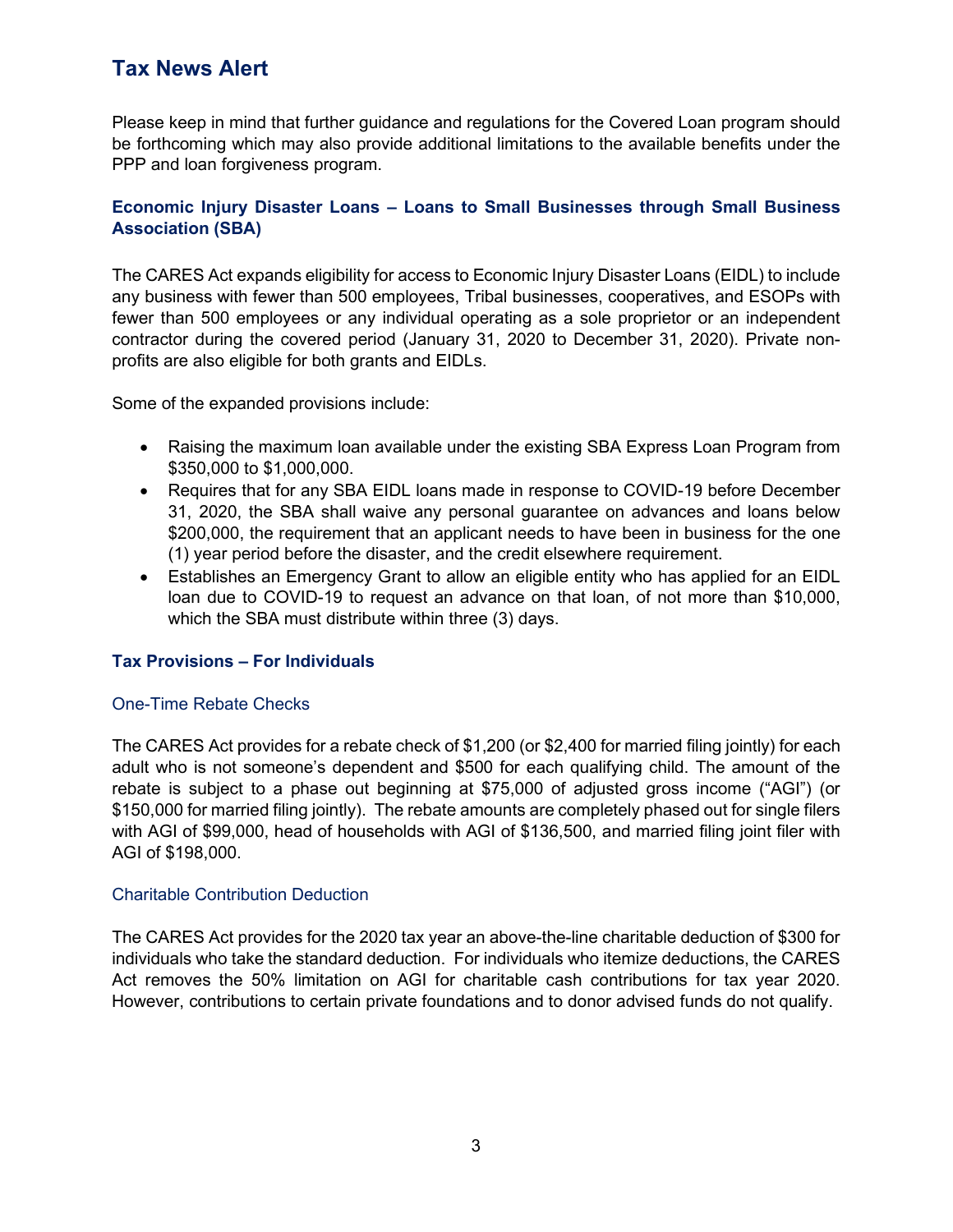Please keep in mind that further guidance and regulations for the Covered Loan program should be forthcoming which may also provide additional limitations to the available benefits under the PPP and loan forgiveness program.

## **Economic Injury Disaster Loans – Loans to Small Businesses through Small Business Association (SBA)**

The CARES Act expands eligibility for access to Economic Injury Disaster Loans (EIDL) to include any business with fewer than 500 employees, Tribal businesses, cooperatives, and ESOPs with fewer than 500 employees or any individual operating as a sole proprietor or an independent contractor during the covered period (January 31, 2020 to December 31, 2020). Private nonprofits are also eligible for both grants and EIDLs.

Some of the expanded provisions include:

- Raising the maximum loan available under the existing SBA Express Loan Program from \$350,000 to \$1,000,000.
- Requires that for any SBA EIDL loans made in response to COVID-19 before December 31, 2020, the SBA shall waive any personal guarantee on advances and loans below \$200,000, the requirement that an applicant needs to have been in business for the one (1) year period before the disaster, and the credit elsewhere requirement.
- Establishes an Emergency Grant to allow an eligible entity who has applied for an EIDL loan due to COVID-19 to request an advance on that loan, of not more than \$10,000, which the SBA must distribute within three (3) days.

### **Tax Provisions – For Individuals**

### One-Time Rebate Checks

The CARES Act provides for a rebate check of \$1,200 (or \$2,400 for married filing jointly) for each adult who is not someone's dependent and \$500 for each qualifying child. The amount of the rebate is subject to a phase out beginning at \$75,000 of adjusted gross income ("AGI") (or \$150,000 for married filing jointly). The rebate amounts are completely phased out for single filers with AGI of \$99,000, head of households with AGI of \$136,500, and married filing joint filer with AGI of \$198,000.

### Charitable Contribution Deduction

The CARES Act provides for the 2020 tax year an above-the-line charitable deduction of \$300 for individuals who take the standard deduction. For individuals who itemize deductions, the CARES Act removes the 50% limitation on AGI for charitable cash contributions for tax year 2020. However, contributions to certain private foundations and to donor advised funds do not qualify.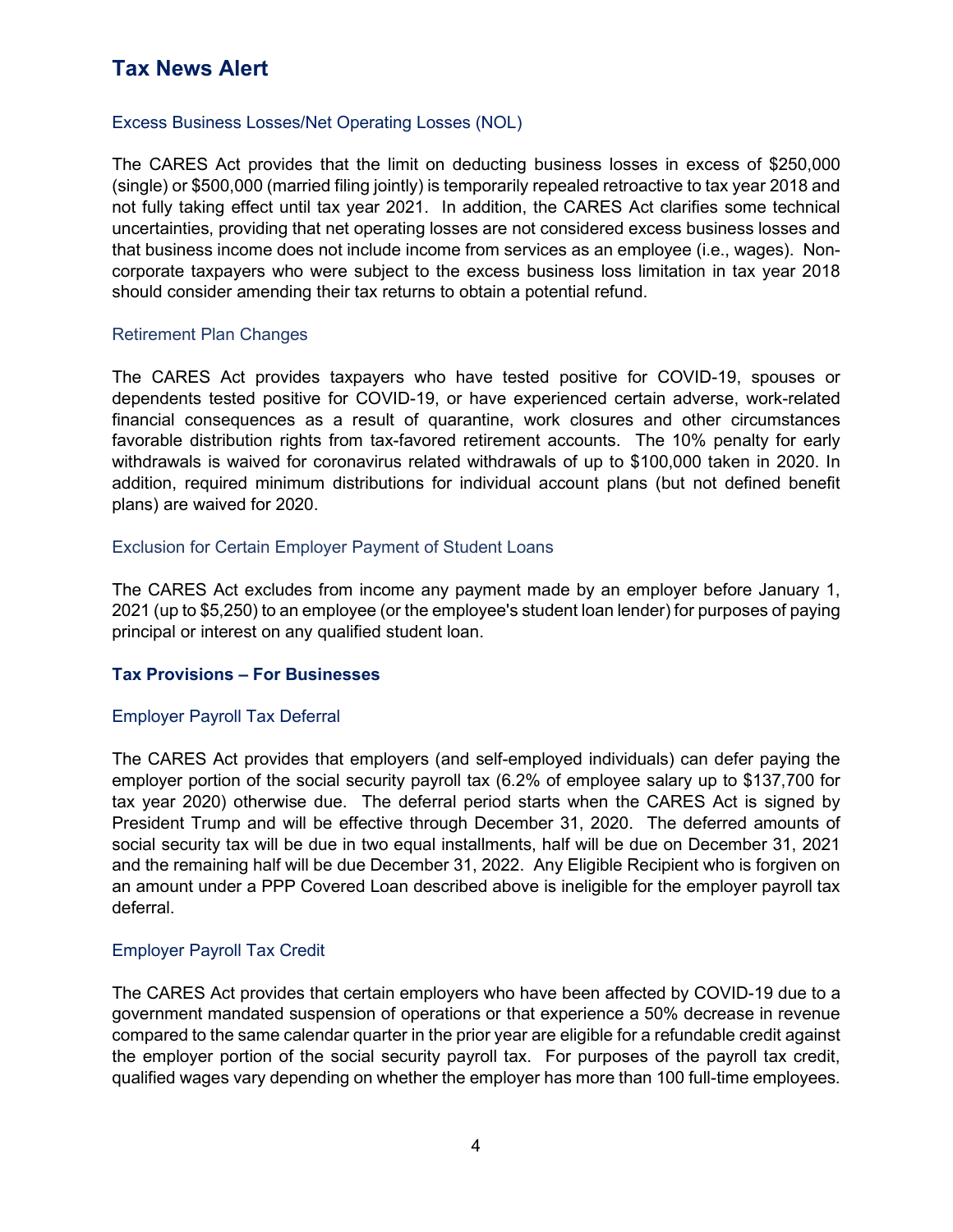#### Excess Business Losses/Net Operating Losses (NOL)

The CARES Act provides that the limit on deducting business losses in excess of \$250,000 (single) or \$500,000 (married filing jointly) is temporarily repealed retroactive to tax year 2018 and not fully taking effect until tax year 2021. In addition, the CARES Act clarifies some technical uncertainties, providing that net operating losses are not considered excess business losses and that business income does not include income from services as an employee (i.e., wages). Noncorporate taxpayers who were subject to the excess business loss limitation in tax year 2018 should consider amending their tax returns to obtain a potential refund.

#### Retirement Plan Changes

The CARES Act provides taxpayers who have tested positive for COVID-19, spouses or dependents tested positive for COVID-19, or have experienced certain adverse, work-related financial consequences as a result of quarantine, work closures and other circumstances favorable distribution rights from tax-favored retirement accounts. The 10% penalty for early withdrawals is waived for coronavirus related withdrawals of up to \$100,000 taken in 2020. In addition, required minimum distributions for individual account plans (but not defined benefit plans) are waived for 2020.

#### Exclusion for Certain Employer Payment of Student Loans

The CARES Act excludes from income any payment made by an employer before January 1, 2021 (up to \$5,250) to an employee (or the employee's student loan lender) for purposes of paying principal or interest on any qualified student loan.

#### **Tax Provisions – For Businesses**

### Employer Payroll Tax Deferral

The CARES Act provides that employers (and self-employed individuals) can defer paying the employer portion of the social security payroll tax (6.2% of employee salary up to \$137,700 for tax year 2020) otherwise due. The deferral period starts when the CARES Act is signed by President Trump and will be effective through December 31, 2020. The deferred amounts of social security tax will be due in two equal installments, half will be due on December 31, 2021 and the remaining half will be due December 31, 2022. Any Eligible Recipient who is forgiven on an amount under a PPP Covered Loan described above is ineligible for the employer payroll tax deferral.

### Employer Payroll Tax Credit

The CARES Act provides that certain employers who have been affected by COVID-19 due to a government mandated suspension of operations or that experience a 50% decrease in revenue compared to the same calendar quarter in the prior year are eligible for a refundable credit against the employer portion of the social security payroll tax. For purposes of the payroll tax credit, qualified wages vary depending on whether the employer has more than 100 full-time employees.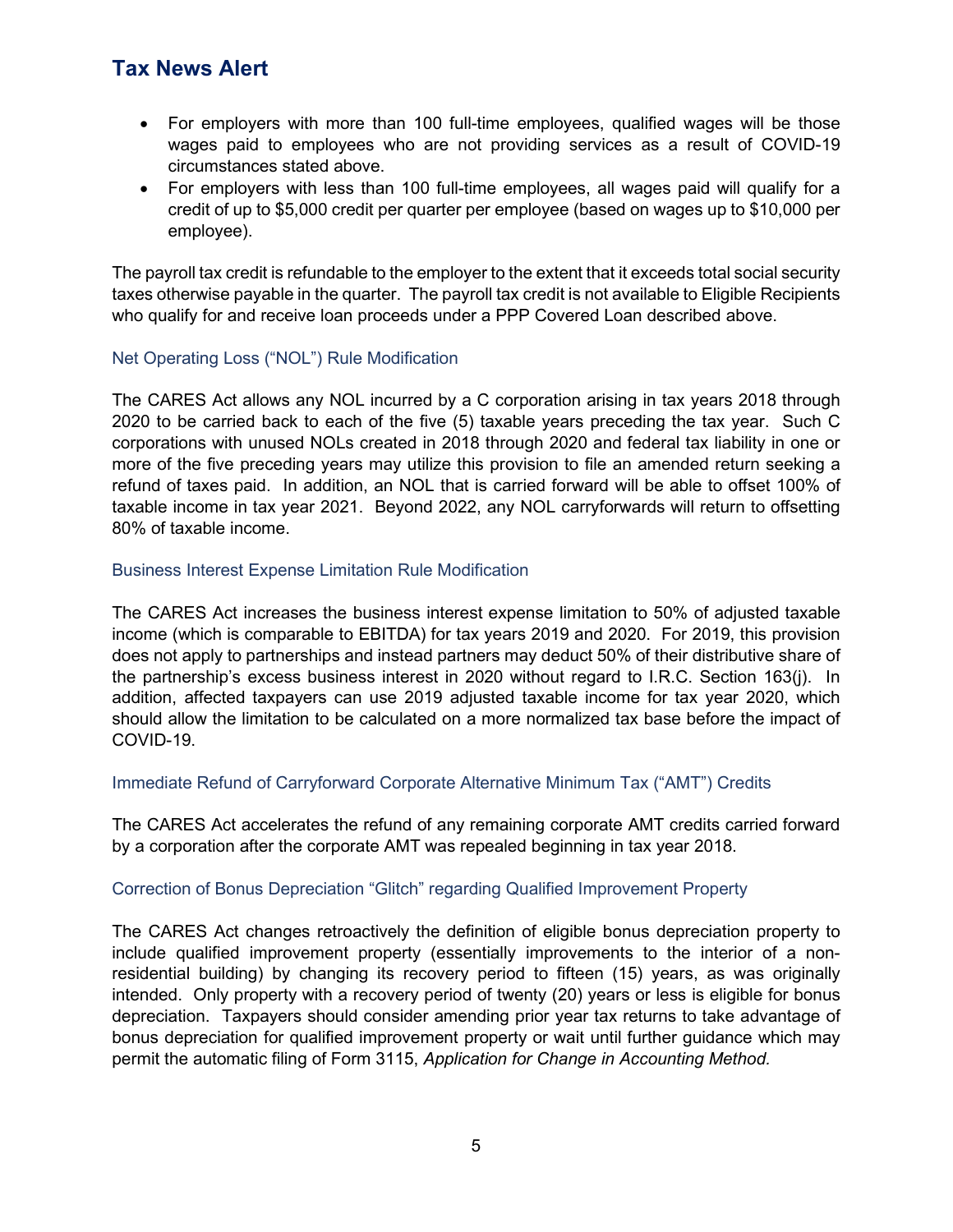- For employers with more than 100 full-time employees, qualified wages will be those wages paid to employees who are not providing services as a result of COVID-19 circumstances stated above.
- For employers with less than 100 full-time employees, all wages paid will qualify for a credit of up to \$5,000 credit per quarter per employee (based on wages up to \$10,000 per employee).

The payroll tax credit is refundable to the employer to the extent that it exceeds total social security taxes otherwise payable in the quarter. The payroll tax credit is not available to Eligible Recipients who qualify for and receive loan proceeds under a PPP Covered Loan described above.

## Net Operating Loss ("NOL") Rule Modification

The CARES Act allows any NOL incurred by a C corporation arising in tax years 2018 through 2020 to be carried back to each of the five (5) taxable years preceding the tax year. Such C corporations with unused NOLs created in 2018 through 2020 and federal tax liability in one or more of the five preceding years may utilize this provision to file an amended return seeking a refund of taxes paid. In addition, an NOL that is carried forward will be able to offset 100% of taxable income in tax year 2021. Beyond 2022, any NOL carryforwards will return to offsetting 80% of taxable income.

### Business Interest Expense Limitation Rule Modification

The CARES Act increases the business interest expense limitation to 50% of adjusted taxable income (which is comparable to EBITDA) for tax years 2019 and 2020. For 2019, this provision does not apply to partnerships and instead partners may deduct 50% of their distributive share of the partnership's excess business interest in 2020 without regard to I.R.C. Section 163(j). In addition, affected taxpayers can use 2019 adjusted taxable income for tax year 2020, which should allow the limitation to be calculated on a more normalized tax base before the impact of COVID-19.

Immediate Refund of Carryforward Corporate Alternative Minimum Tax ("AMT") Credits

The CARES Act accelerates the refund of any remaining corporate AMT credits carried forward by a corporation after the corporate AMT was repealed beginning in tax year 2018.

### Correction of Bonus Depreciation "Glitch" regarding Qualified Improvement Property

The CARES Act changes retroactively the definition of eligible bonus depreciation property to include qualified improvement property (essentially improvements to the interior of a nonresidential building) by changing its recovery period to fifteen (15) years, as was originally intended. Only property with a recovery period of twenty (20) years or less is eligible for bonus depreciation. Taxpayers should consider amending prior year tax returns to take advantage of bonus depreciation for qualified improvement property or wait until further guidance which may permit the automatic filing of Form 3115, *Application for Change in Accounting Method.*